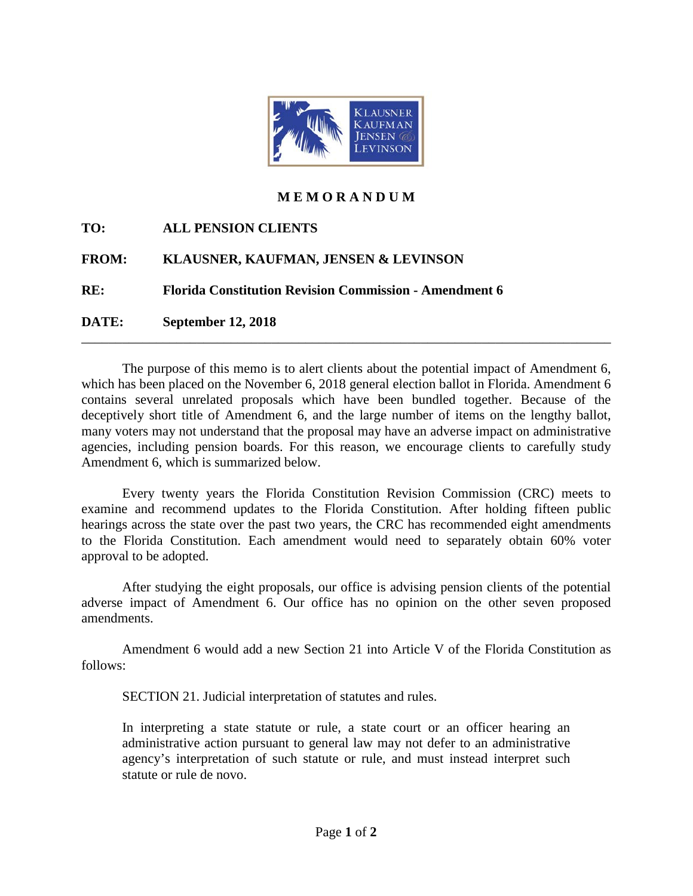

## **M E M O R A N D U M**

**TO: ALL PENSION CLIENTS** 

## **FROM: KLAUSNER, KAUFMAN, JENSEN & LEVINSON**

**RE: Florida Constitution Revision Commission - Amendment 6** 

**DATE: September 12, 2018**

The purpose of this memo is to alert clients about the potential impact of Amendment 6, which has been placed on the November 6, 2018 general election ballot in Florida. Amendment 6 contains several unrelated proposals which have been bundled together. Because of the deceptively short title of Amendment 6, and the large number of items on the lengthy ballot, many voters may not understand that the proposal may have an adverse impact on administrative agencies, including pension boards. For this reason, we encourage clients to carefully study Amendment 6, which is summarized below.

\_\_\_\_\_\_\_\_\_\_\_\_\_\_\_\_\_\_\_\_\_\_\_\_\_\_\_\_\_\_\_\_\_\_\_\_\_\_\_\_\_\_\_\_\_\_\_\_\_\_\_\_\_\_\_\_\_\_\_\_\_\_\_\_\_\_\_\_\_\_\_\_\_\_\_\_\_\_

Every twenty years the Florida Constitution Revision Commission (CRC) meets to examine and recommend updates to the Florida Constitution. After holding fifteen public hearings across the state over the past two years, the CRC has recommended eight amendments to the Florida Constitution. Each amendment would need to separately obtain 60% voter approval to be adopted.

After studying the eight proposals, our office is advising pension clients of the potential adverse impact of Amendment 6. Our office has no opinion on the other seven proposed amendments.

Amendment 6 would add a new Section 21 into Article V of the Florida Constitution as follows:

SECTION 21. Judicial interpretation of statutes and rules.

In interpreting a state statute or rule, a state court or an officer hearing an administrative action pursuant to general law may not defer to an administrative agency's interpretation of such statute or rule, and must instead interpret such statute or rule de novo.